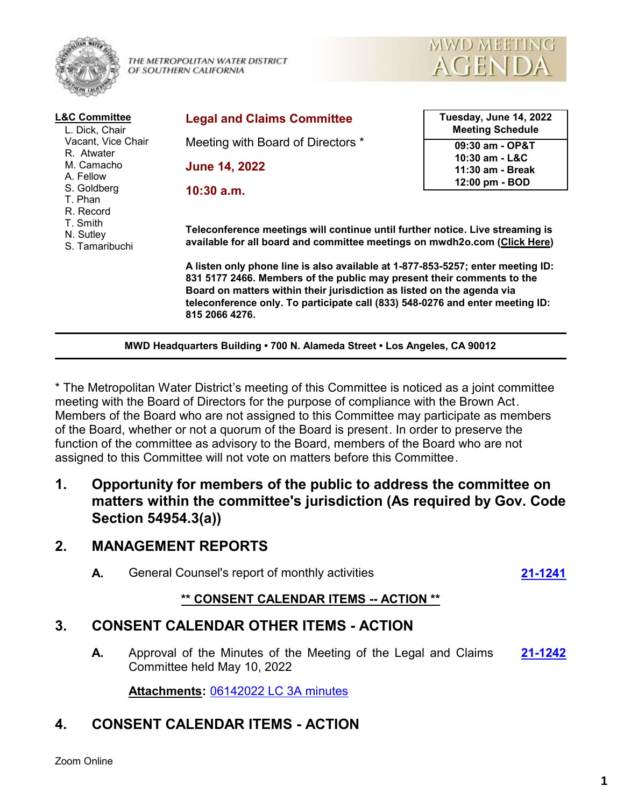

THE METROPOLITAN WATER DISTRICT OF SOUTHERN CALIFORNIA



| <b>L&amp;C Committee</b><br>L. Dick, Chair<br>Vacant, Vice Chair<br>R. Atwater<br>M. Camacho<br>A. Fellow<br>S. Goldberg<br>T. Phan<br>R. Record<br>T. Smith<br>N. Sutley<br>S. Tamaribuchi | <b>Legal and Claims Committee</b>                                                                                                                                                                                                                                                                                                      | Tuesday, June 14, 2022<br><b>Meeting Schedule</b> |
|---------------------------------------------------------------------------------------------------------------------------------------------------------------------------------------------|----------------------------------------------------------------------------------------------------------------------------------------------------------------------------------------------------------------------------------------------------------------------------------------------------------------------------------------|---------------------------------------------------|
|                                                                                                                                                                                             | Meeting with Board of Directors *                                                                                                                                                                                                                                                                                                      | 09:30 am - OP&T<br>10:30 am - L&C                 |
|                                                                                                                                                                                             | <b>June 14, 2022</b>                                                                                                                                                                                                                                                                                                                   | 11:30 am - Break                                  |
|                                                                                                                                                                                             | $10:30$ a.m.                                                                                                                                                                                                                                                                                                                           | 12:00 pm - BOD                                    |
|                                                                                                                                                                                             | Teleconference meetings will continue until further notice. Live streaming is<br>available for all board and committee meetings on mwdh2o.com (Click Here)                                                                                                                                                                             |                                                   |
|                                                                                                                                                                                             | A listen only phone line is also available at 1-877-853-5257; enter meeting ID:<br>831 5177 2466. Members of the public may present their comments to the<br>Board on matters within their jurisdiction as listed on the agenda via<br>teleconference only. To participate call (833) 548-0276 and enter meeting ID:<br>815 2066 4276. |                                                   |

**MWD Headquarters Building • 700 N. Alameda Street • Los Angeles, CA 90012**

\* The Metropolitan Water District's meeting of this Committee is noticed as a joint committee meeting with the Board of Directors for the purpose of compliance with the Brown Act. Members of the Board who are not assigned to this Committee may participate as members of the Board, whether or not a quorum of the Board is present. In order to preserve the function of the committee as advisory to the Board, members of the Board who are not assigned to this Committee will not vote on matters before this Committee.

**1. Opportunity for members of the public to address the committee on matters within the committee's jurisdiction (As required by Gov. Code Section 54954.3(a))**

# **2. MANAGEMENT REPORTS**

**A.** General Counsel's report of monthly activities **[21-1241](http://mwdh2o.legistar.com/gateway.aspx?m=l&id=/matter.aspx?key=2333)**

# **\*\* CONSENT CALENDAR ITEMS -- ACTION \*\***

# **3. CONSENT CALENDAR OTHER ITEMS - ACTION**

**A.** Approval of the Minutes of the Meeting of the Legal and Claims **[21-1242](http://mwdh2o.legistar.com/gateway.aspx?m=l&id=/matter.aspx?key=2334)** Committee held May 10, 2022

**Attachments:** [06142022 LC 3A minutes](http://mwdh2o.legistar.com/gateway.aspx?M=F&ID=49a7da37-517e-4adb-afee-524c971fc9c4.pdf)

# **4. CONSENT CALENDAR ITEMS - ACTION**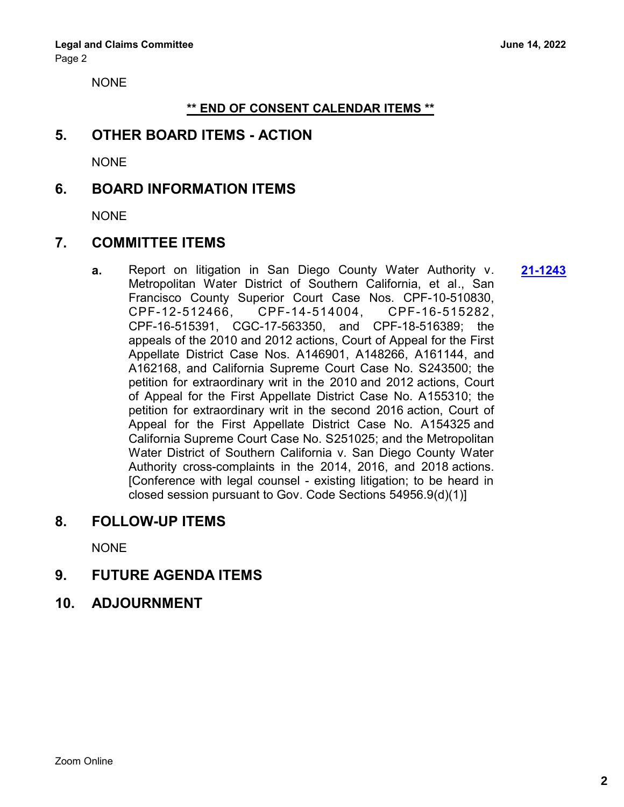NONE

### **\*\* END OF CONSENT CALENDAR ITEMS \*\***

# **5. OTHER BOARD ITEMS - ACTION**

NONE

# **6. BOARD INFORMATION ITEMS**

NONE

# **7. COMMITTEE ITEMS**

**a.** Report on litigation in San Diego County Water Authority v. **[21-1243](http://mwdh2o.legistar.com/gateway.aspx?m=l&id=/matter.aspx?key=2335)** Metropolitan Water District of Southern California, et al., San Francisco County Superior Court Case Nos. CPF-10-510830, CPF-12-512466, CPF-14-514004, CPF-16-515282 , CPF-16-515391, CGC-17-563350, and CPF-18-516389; the appeals of the 2010 and 2012 actions, Court of Appeal for the First Appellate District Case Nos. A146901, A148266, A161144, and A162168, and California Supreme Court Case No. S243500; the petition for extraordinary writ in the 2010 and 2012 actions, Court of Appeal for the First Appellate District Case No. A155310; the petition for extraordinary writ in the second 2016 action, Court of Appeal for the First Appellate District Case No. A154325 and California Supreme Court Case No. S251025; and the Metropolitan Water District of Southern California v. San Diego County Water Authority cross-complaints in the 2014, 2016, and 2018 actions. [Conference with legal counsel - existing litigation; to be heard in closed session pursuant to Gov. Code Sections 54956.9(d)(1)]

## **8. FOLLOW-UP ITEMS**

**NONE** 

# **9. FUTURE AGENDA ITEMS**

**10. ADJOURNMENT**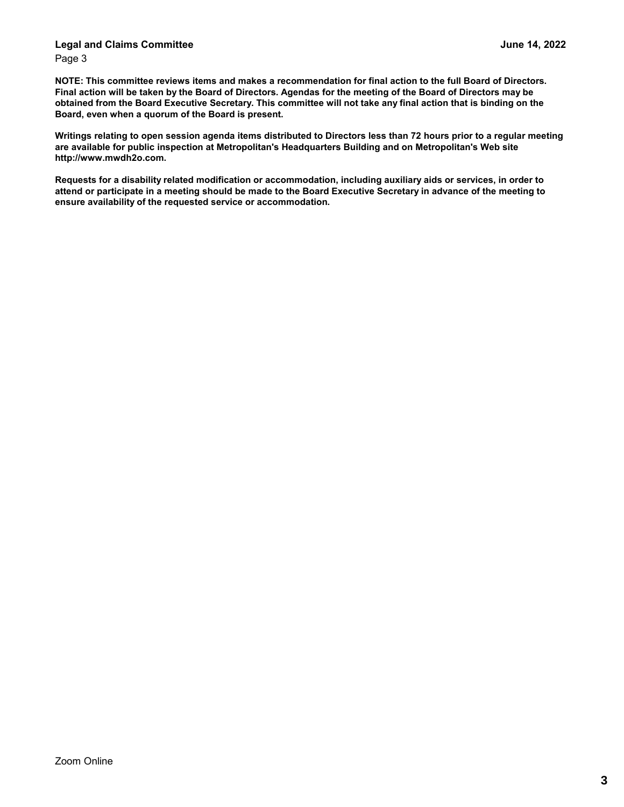#### **Legal and Claims Committee June 14, 2022** Page 3

**NOTE: This committee reviews items and makes a recommendation for final action to the full Board of Directors. Final action will be taken by the Board of Directors. Agendas for the meeting of the Board of Directors may be obtained from the Board Executive Secretary. This committee will not take any final action that is binding on the Board, even when a quorum of the Board is present.** 

**Writings relating to open session agenda items distributed to Directors less than 72 hours prior to a regular meeting are available for public inspection at Metropolitan's Headquarters Building and on Metropolitan's Web site http://www.mwdh2o.com.**

**Requests for a disability related modification or accommodation, including auxiliary aids or services, in order to attend or participate in a meeting should be made to the Board Executive Secretary in advance of the meeting to ensure availability of the requested service or accommodation.**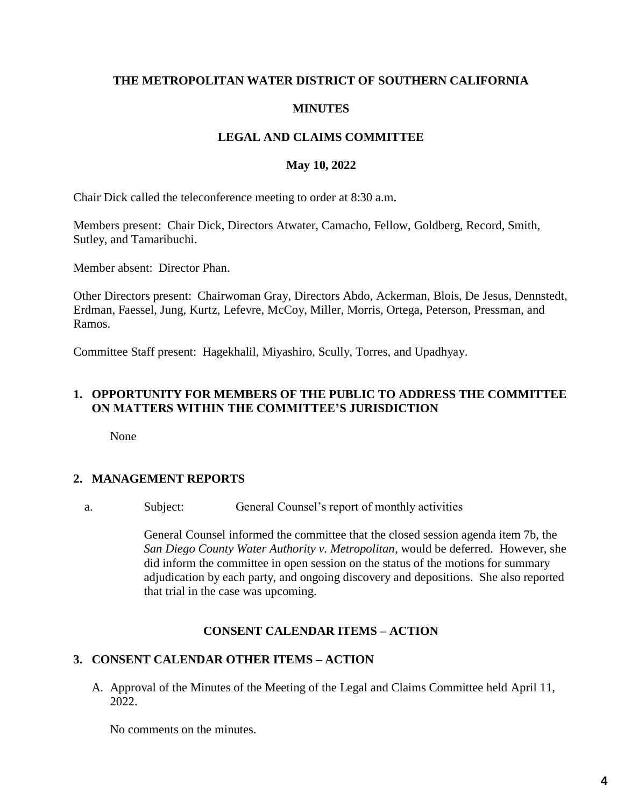### **THE METROPOLITAN WATER DISTRICT OF SOUTHERN CALIFORNIA**

### **MINUTES**

## **LEGAL AND CLAIMS COMMITTEE**

#### **May 10, 2022**

Chair Dick called the teleconference meeting to order at 8:30 a.m.

Members present: Chair Dick, Directors Atwater, Camacho, Fellow, Goldberg, Record, Smith, Sutley, and Tamaribuchi.

Member absent: Director Phan.

Other Directors present: Chairwoman Gray, Directors Abdo, Ackerman, Blois, De Jesus, Dennstedt, Erdman, Faessel, Jung, Kurtz, Lefevre, McCoy, Miller, Morris, Ortega, Peterson, Pressman, and Ramos.

Committee Staff present: Hagekhalil, Miyashiro, Scully, Torres, and Upadhyay.

## **1. OPPORTUNITY FOR MEMBERS OF THE PUBLIC TO ADDRESS THE COMMITTEE ON MATTERS WITHIN THE COMMITTEE'S JURISDICTION**

None

## **2. MANAGEMENT REPORTS**

a. Subject: General Counsel's report of monthly activities

General Counsel informed the committee that the closed session agenda item 7b, the *San Diego County Water Authority v. Metropolitan*, would be deferred. However, she did inform the committee in open session on the status of the motions for summary adjudication by each party, and ongoing discovery and depositions. She also reported that trial in the case was upcoming.

#### **CONSENT CALENDAR ITEMS – ACTION**

## **3. CONSENT CALENDAR OTHER ITEMS – ACTION**

A. Approval of the Minutes of the Meeting of the Legal and Claims Committee held April 11, 2022.

No comments on the minutes.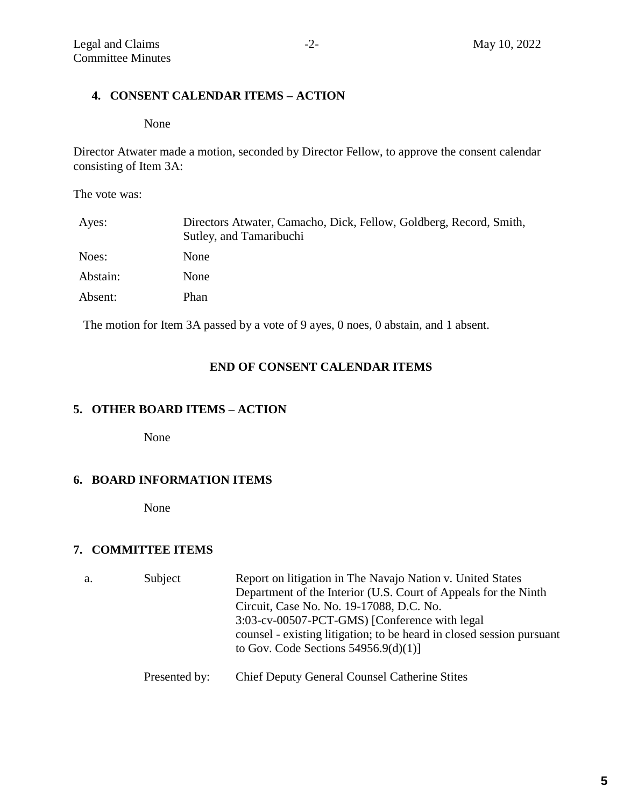# **4. CONSENT CALENDAR ITEMS – ACTION**

None

Director Atwater made a motion, seconded by Director Fellow, to approve the consent calendar consisting of Item 3A:

The vote was:

| Ayes:    | Directors Atwater, Camacho, Dick, Fellow, Goldberg, Record, Smith,<br>Sutley, and Tamaribuchi |
|----------|-----------------------------------------------------------------------------------------------|
| Noes:    | None                                                                                          |
| Abstain: | None                                                                                          |
| Absent:  | Phan                                                                                          |

The motion for Item 3A passed by a vote of 9 ayes, 0 noes, 0 abstain, and 1 absent.

## **END OF CONSENT CALENDAR ITEMS**

# **5. OTHER BOARD ITEMS – ACTION**

None

#### **6. BOARD INFORMATION ITEMS**

None

## **7. COMMITTEE ITEMS**

| a. | Subject       | Report on litigation in The Navajo Nation v. United States<br>Department of the Interior (U.S. Court of Appeals for the Ninth<br>Circuit, Case No. No. 19-17088, D.C. No.<br>3:03-cv-00507-PCT-GMS) [Conference with legal]<br>counsel - existing litigation; to be heard in closed session pursuant<br>to Gov. Code Sections $54956.9(d)(1)$ ] |
|----|---------------|-------------------------------------------------------------------------------------------------------------------------------------------------------------------------------------------------------------------------------------------------------------------------------------------------------------------------------------------------|
|    | Presented by: | <b>Chief Deputy General Counsel Catherine Stites</b>                                                                                                                                                                                                                                                                                            |